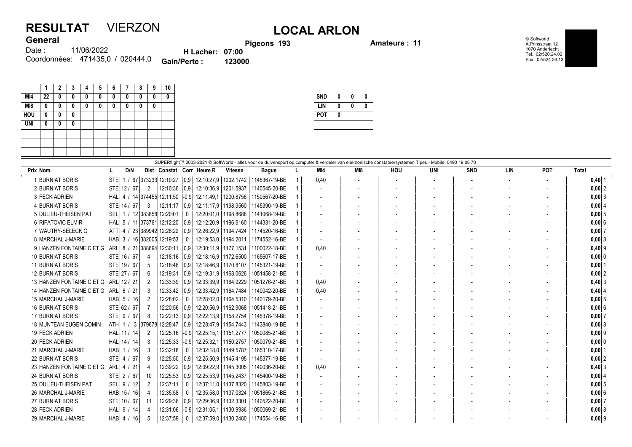## RESULTAT VIERZON LOCAL ARLON **General**

eons 193 **Amateurs : 11** 

© Softworld A.Prinsstraat 12 1070 Anderlecht Tel.: 02/520.24.02 Fax.: 02/524.36.13

| וסוסווס |                                  |                        | <b>Pigo</b> |
|---------|----------------------------------|------------------------|-------------|
| Date :  | 11/06/2022                       | <b>H</b> Lacher: 07:00 |             |
|         | Coordonnées: 471435,0 / 020444,0 | <b>Gain/Perte:</b>     | 123000      |

|            | 1  | $\mathbf{2}$ | 3 | 4 | 5 | 6 | 7 | 8 | 9 | 10 |
|------------|----|--------------|---|---|---|---|---|---|---|----|
| MI4        | 22 | 0            | 0 | 0 | 0 | 0 | 0 | 0 | 0 | 0  |
| M18        | 0  | 0            | 0 | 0 | 0 | 0 | 0 | 0 | 0 |    |
| <b>HOU</b> | 0  | 0            | 0 |   |   |   |   |   |   |    |
| <b>UNI</b> | 0  | 0            | 0 |   |   |   |   |   |   |    |
|            |    |              |   |   |   |   |   |   |   |    |
|            |    |              |   |   |   |   |   |   |   |    |
|            |    |              |   |   |   |   |   |   |   |    |

| <b>SND</b> | 0 | 0 | 0 |
|------------|---|---|---|
| LIN        | 0 | 0 | Λ |
| <b>POT</b> | 0 |   |   |

|                               |             |              |                  |                              |                  |                                   |                        | SUPERflight™ 2003-2021 © SoftWorld - alles voor de duivensport op computer & verdeler van elektronische constateersystemen Tipes - Mobile: 0490 19 08 70 |      |                 |     |     |            |            |            |            |
|-------------------------------|-------------|--------------|------------------|------------------------------|------------------|-----------------------------------|------------------------|----------------------------------------------------------------------------------------------------------------------------------------------------------|------|-----------------|-----|-----|------------|------------|------------|------------|
| Prix Nom                      |             | D/N          |                  |                              |                  | Dist Constat Corr Heure R         | <b>Vitesse</b>         | <b>Bague</b>                                                                                                                                             | MI4  | M <sub>18</sub> | HOU | UNI | <b>SND</b> | <b>LIN</b> | <b>POT</b> | Total      |
| 1 BURNIAT BORIS               | <b>STEI</b> | 1/           |                  | 67 373233 12:10:27           |                  | 0.9 12:10:27.9                    | 1202,1742              | 1145367-19-BE                                                                                                                                            | 0,40 |                 |     |     |            |            |            | $0,40$ 1   |
| 2 BURNIAT BORIS               |             | STE 12 / 67  | $\overline{2}$   | 12:10:36                     |                  | 0.9 12:10:36.9 1201.5937          |                        | 1140545-20-BE                                                                                                                                            |      |                 |     |     |            |            |            | $0,00$ 2   |
| 3 FECK ADRIEN                 |             |              |                  | HAL   4 / 14 374455 12:11:50 |                  | $-0.9$ 12:11:49.1                 | 1200.8756              | 1150567-20-BE                                                                                                                                            |      |                 |     |     |            |            |            | $0,00$   3 |
| <b>4 BURNIAT BORIS</b>        |             | STE 14 / 67  | 3                | 12:11:17                     |                  | 0.9 12:11:17.9 1198.9560          |                        | 1145390-19-BE                                                                                                                                            |      |                 |     |     |            |            |            | 0,00   4   |
| 5 DULIEU-THEISEN PAT          |             |              |                  | SEL   1 / 12 383658 12:20:01 | 0                | 12:20:01.0   1198.8688            |                        | 1141068-19-BE                                                                                                                                            |      |                 |     |     |            |            |            | 0,005      |
| 6 RIFATOVIC ELMIR             |             |              |                  | HAL   5 / 11 373761 12:12:20 |                  | 0.9 12:12:20.9 1196.6160          |                        | 1144331-20-BE                                                                                                                                            |      |                 |     |     |            |            |            | 0,006      |
| 7 WAUTHY-SELECK G             | $ATT$ 4 /   |              |                  | 23 389942 12:26:22           |                  | 0.9   12:26:22.9   1194.7424      |                        | 1174520-16-BE                                                                                                                                            |      |                 |     |     |            |            |            | $0,00$ 7   |
| 8 MARCHAL J-MARIE             |             |              |                  | HAB 3 / 16 382005 12:19:53   |                  | 12:19:53.0   1194.2011            |                        | 1174552-16-BE                                                                                                                                            |      |                 |     |     |            |            |            | 0,008      |
| 9 HANZEN FONTAINE C ET G      |             |              |                  | ARL 8 / 21 388694 12:30:11   |                  | 0.9   12:30:11.9   1177.1531      |                        | 1100022-18-BE                                                                                                                                            | 0.40 |                 |     |     |            |            |            | $0,40$ 9   |
| <b>10 BURNIAT BORIS</b>       |             | STE 16 / 67  | 4                |                              |                  |                                   |                        | 12:18:16   0.9   12:18:16.9   1172.6500   1165607-17-BE                                                                                                  |      |                 |     |     |            |            |            | 0,000      |
| <b>11 BURNIAT BORIS</b>       |             | STE 19 / 67  | 5                | 12:18:46                     |                  | 0.9 12:18:46.9 1170.8107          |                        | 1145321-19-BE                                                                                                                                            |      |                 |     |     |            |            |            | 0,00       |
| <b>12 BURNIAT BORIS</b>       |             | STE 27 / 67  | 6                | 12:19:31                     |                  | 0.9 12:19:31.9 1168.0626          |                        | 1051458-21-BE                                                                                                                                            |      |                 |     |     |            |            |            | 0,00 2     |
| 13 HANZEN FONTAINE C ET G     |             | ARL 12 / 21  | 2                | 12:33:39                     |                  | 0.9   12:33:39.9   1164.9229      |                        | 1051276-21-BE                                                                                                                                            | 0,40 |                 |     |     |            |            |            | 0,403      |
| 14 HANZEN FONTAINE C ET G     |             | ARL 6 / 21   | 3                | 12:33:42                     |                  | 0.9   12:33:42.9   1164.7484      |                        | 1140042-20-BE                                                                                                                                            | 0,40 |                 |     |     |            |            |            | $0,40$ 4   |
| 15 MARCHAL J-MARIE            |             | HAB 5 / 16   | $\overline{2}$   | 12:28:02                     | 0                |                                   |                        | 12:28:02.0   1164.5310   1140179-20-BE                                                                                                                   |      |                 |     |     |            |            |            | 0,005      |
| <b>16 BURNIAT BORIS</b>       |             | STE 62 / 67  |                  | 12:20:56                     |                  | 0.9 12:20:56.9 1162.9068          |                        | 1051418-21-BE                                                                                                                                            |      |                 |     |     |            |            |            | 0,006      |
| <b>17 BURNIAT BORIS</b>       |             | STE 9 / 67   | 8                |                              |                  | 12:22:13 0.9 12:22:13.9 1158.2754 |                        | 1145378-19-BE                                                                                                                                            |      |                 |     |     |            |            |            | $0,00$ 7   |
| <b>18 MUNTEAN EUGEN COMIN</b> |             |              | ATH 1 / 3 379678 | 12:28:47                     | $\mid$ $0.9\mid$ |                                   | 12:28:47,9   1154,7443 | 1143840-19-BE                                                                                                                                            |      |                 |     |     |            |            |            | 0,008      |
| <b>19 FECK ADRIEN</b>         |             | HAL 11 / 14  |                  | 12:25:16                     |                  | $-0.9$ 12:25:15,1   1151,2777     |                        | 1050085-21-BE                                                                                                                                            |      |                 |     |     |            |            |            | $0,00$ 9   |
| 20 FECK ADRIEN                |             | HAL 14 / 14  | 3                | 12:25:33                     |                  | $-0.9$ 12:25:32,1 1150,2757       |                        | 1050079-21-BE                                                                                                                                            |      |                 |     |     |            |            |            | 0,00 0     |
| 21 MARCHAL J-MARIE            |             | HAB   1 / 16 | 3                | 12:32:18                     | $\mathbf 0$      | 12:32:18.0   1149.5787            |                        | 1165310-17-BE                                                                                                                                            |      |                 |     |     |            |            |            | $0,00$   1 |
| <b>22 BURNIAT BORIS</b>       |             | STE 4 / 67   | 9                | 12:25:50                     |                  | 0.9   12:25:50.9   1145.4195      |                        | 1145377-19-BE                                                                                                                                            |      |                 |     |     |            |            |            | $0,00$ 2   |
| 23 HANZEN FONTAINE C ET G     | $ARL$ 4 /   | / 21         |                  | 12:39:22                     |                  | $ 0.9 $ 12:39:22.9   1145.3005    |                        | 1140036-20-BE                                                                                                                                            | 0,40 |                 |     |     |            |            |            | $0,40$ 3   |
| <b>24 BURNIAT BORIS</b>       |             | STE 2 / 67   | 10               | 12:25:53                     |                  | 0.9   12:25:53.9   1145.2437      |                        | 1145400-19-BE                                                                                                                                            |      |                 |     |     |            |            |            | 0,00   4   |
| 25 DULIEU-THEISEN PAT         |             | SEL 9 / 12   |                  | 12:37:11                     | $\mathbf{0}$     | 12:37:11,0   1137,8320            |                        | 1145803-19-BE                                                                                                                                            |      |                 |     |     |            |            |            | $0,00$ 5   |
| 26 MARCHAL J-MARIE            |             | HAB 15 / 16  | 4                | 12:35:58                     | 0                | 12:35:58.0   1137.0324            |                        | 1051865-21-BE                                                                                                                                            |      |                 |     |     |            |            |            | 0,006      |
| <b>27 BURNIAT BORIS</b>       |             | STE 10 / 67  | 11               | 12:29:36                     |                  | 0.9   12:29:36.9   1132.3301      |                        | 1140522-20-BE                                                                                                                                            |      |                 |     |     |            |            |            | $0,00$ 7   |
| 28 FECK ADRIEN                |             | HAL 9 / 14   |                  | 12:31:06                     |                  | $-0.9$ 12:31:05.1 1130.9936       |                        | 1050069-21-BE                                                                                                                                            |      |                 |     |     |            |            |            | 0,00 8     |
| 29 MARCHAL J-MARIE            |             | $HAB$ 4 / 16 | 5                | 12:37:59                     | $\mathbf{0}$     | 12:37:59,0   1130,2480            |                        | 1174554-16-BE                                                                                                                                            |      |                 |     |     |            |            |            | $0,00$ 9   |